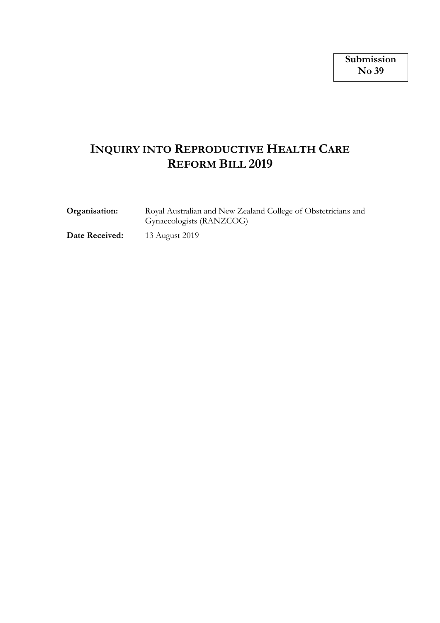# **INQUIRY INTO REPRODUCTIVE HEALTH CARE REFORM BILL 2019**

| Organisation:  | Royal Australian and New Zealand College of Obstetricians and<br>Gynaecologists (RANZCOG) |
|----------------|-------------------------------------------------------------------------------------------|
| Date Received: | 13 August 2019                                                                            |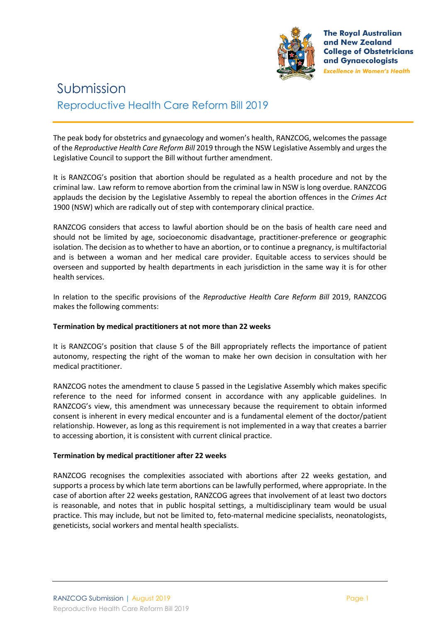

**The Royal Australian** and New Zealand **College of Obstetricians** and Gynaecologists **Excellence in Women's Health** 

# Submission Reproductive Health Care Reform Bill 2019

The peak body for obstetrics and gynaecology and women's health, RANZCOG, welcomes the passage of the *Reproductive Health Care Reform Bill* 2019 through the NSW Legislative Assembly and urges the Legislative Council to support the Bill without further amendment.

It is RANZCOG's position that abortion should be regulated as a health procedure and not by the criminal law. Law reform to remove abortion from the criminal law in NSW is long overdue. RANZCOG applauds the decision by the Legislative Assembly to repeal the abortion offences in the *Crimes Act*  1900 (NSW) which are radically out of step with contemporary clinical practice.

RANZCOG considers that access to lawful abortion should be on the basis of health care need and should not be limited by age, socioeconomic disadvantage, practitioner-preference or geographic isolation. The decision as to whether to have an abortion, or to continue a pregnancy, is multifactorial and is between a woman and her medical care provider. Equitable access to services should be overseen and supported by health departments in each jurisdiction in the same way it is for other health services.

In relation to the specific provisions of the *Reproductive Health Care Reform Bill* 2019, RANZCOG makes the following comments:

## **Termination by medical practitioners at not more than 22 weeks**

It is RANZCOG's position that clause 5 of the Bill appropriately reflects the importance of patient autonomy, respecting the right of the woman to make her own decision in consultation with her medical practitioner.

RANZCOG notes the amendment to clause 5 passed in the Legislative Assembly which makes specific reference to the need for informed consent in accordance with any applicable guidelines. In RANZCOG's view, this amendment was unnecessary because the requirement to obtain informed consent is inherent in every medical encounter and is a fundamental element of the doctor/patient relationship. However, as long as this requirement is not implemented in a way that creates a barrier to accessing abortion, it is consistent with current clinical practice.

### **Termination by medical practitioner after 22 weeks**

RANZCOG recognises the complexities associated with abortions after 22 weeks gestation, and supports a process by which late term abortions can be lawfully performed, where appropriate. In the case of abortion after 22 weeks gestation, RANZCOG agrees that involvement of at least two doctors is reasonable, and notes that in public hospital settings, a multidisciplinary team would be usual practice. This may include, but not be limited to, feto-maternal medicine specialists, neonatologists, geneticists, social workers and mental health specialists.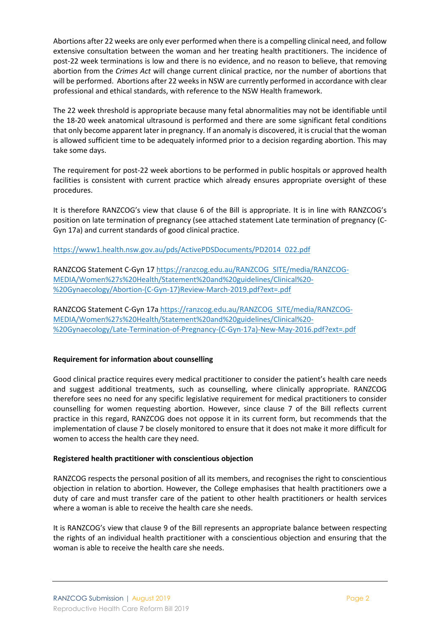Abortions after 22 weeks are only ever performed when there is a compelling clinical need, and follow extensive consultation between the woman and her treating health practitioners. The incidence of post-22 week terminations is low and there is no evidence, and no reason to believe, that removing abortion from the *Crimes Act* will change current clinical practice, nor the number of abortions that will be performed. Abortions after 22 weeks in NSW are currently performed in accordance with clear professional and ethical standards, with reference to the NSW Health framework.

The 22 week threshold is appropriate because many fetal abnormalities may not be identifiable until the 18-20 week anatomical ultrasound is performed and there are some significant fetal conditions that only become apparent later in pregnancy. If an anomaly is discovered, it is crucial that the woman is allowed sufficient time to be adequately informed prior to a decision regarding abortion. This may take some days.

The requirement for post-22 week abortions to be performed in public hospitals or approved health facilities is consistent with current practice which already ensures appropriate oversight of these procedures.

It is therefore RANZCOG's view that clause 6 of the Bill is appropriate. It is in line with RANZCOG's position on late termination of pregnancy (see attached statement Late termination of pregnancy (C-Gyn 17a) and current standards of good clinical practice.

https://www1.health.nsw.gov.au/pds/ActivePDSDocuments/PD2014 022.pdf

RANZCOG Statement C-Gyn 17 https://ranzcog.edu.au/RANZCOG SITE/media/RANZCOG-MEDIA/Women%27s%20Health/Statement%20and%20guidelines/Clinical%20- %20Gynaecology/Abortion-(C-Gyn-17)Review-March-2019.pdf?ext=.pdf

RANZCOG Statement C-Gyn 17a https://ranzcog.edu.au/RANZCOG SITE/media/RANZCOG-MEDIA/Women%27s%20Health/Statement%20and%20guidelines/Clinical%20- %20Gynaecology/Late-Termination-of-Pregnancy-(C-Gyn-17a)-New-May-2016.pdf?ext=.pdf

## **Requirement for information about counselling**

Good clinical practice requires every medical practitioner to consider the patient's health care needs and suggest additional treatments, such as counselling, where clinically appropriate. RANZCOG therefore sees no need for any specific legislative requirement for medical practitioners to consider counselling for women requesting abortion. However, since clause 7 of the Bill reflects current practice in this regard, RANZCOG does not oppose it in its current form, but recommends that the implementation of clause 7 be closely monitored to ensure that it does not make it more difficult for women to access the health care they need.

### **Registered health practitioner with conscientious objection**

RANZCOG respects the personal position of all its members, and recognises the right to conscientious objection in relation to abortion. However, the College emphasises that health practitioners owe a duty of care and must transfer care of the patient to other health practitioners or health services where a woman is able to receive the health care she needs.

It is RANZCOG's view that clause 9 of the Bill represents an appropriate balance between respecting the rights of an individual health practitioner with a conscientious objection and ensuring that the woman is able to receive the health care she needs.